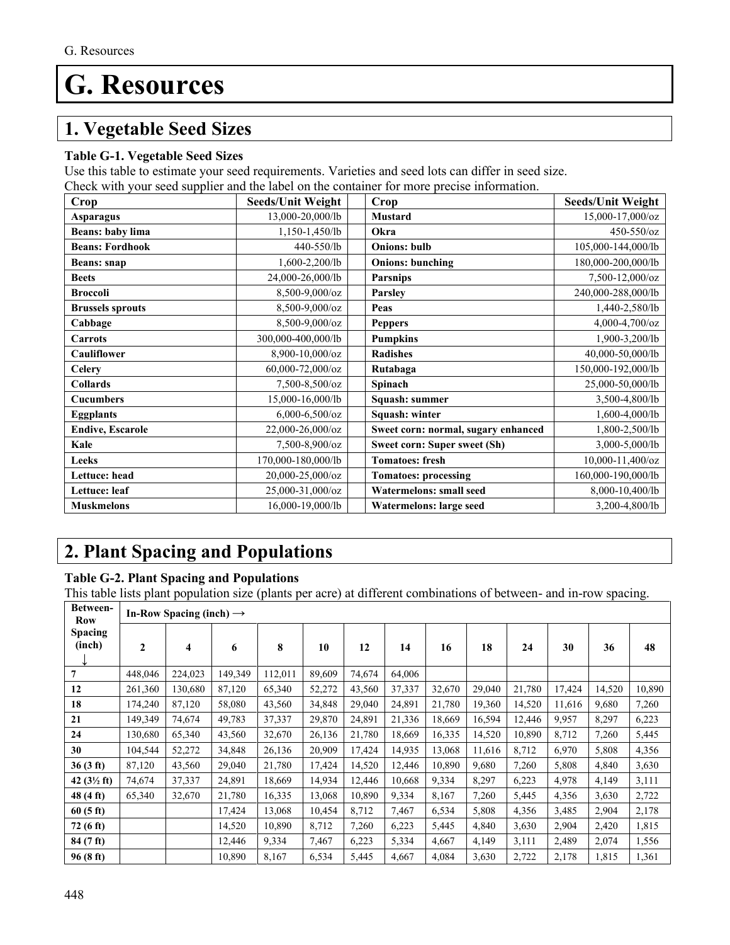# **G. Resources**

### **1. Vegetable Seed Sizes**

#### **Table G-1. Vegetable Seed Sizes**

Use this table to estimate your seed requirements. Varieties and seed lots can differ in seed size.

Check with your seed supplier and the label on the container for more precise information.

| Crop                    | <b>Seeds/Unit Weight</b>  | Crop                                | <b>Seeds/Unit Weight</b> |
|-------------------------|---------------------------|-------------------------------------|--------------------------|
| Asparagus               | 13,000-20,000/lb          | Mustard                             | 15,000-17,000/oz         |
| <b>Beans: baby lima</b> | 1,150-1,450/lb            | Okra                                | 450-550/oz               |
| <b>Beans: Fordhook</b>  | 440-550/lb                | <b>Onions: bulb</b>                 | 105,000-144,000/lb       |
| Beans: snap             | 1,600-2,200/lb            | <b>Onions: bunching</b>             | 180,000-200,000/lb       |
| <b>Beets</b>            | 24,000-26,000/lb          | <b>Parsnips</b>                     | 7,500-12,000/oz          |
| <b>Broccoli</b>         | 8,500-9,000/oz            | <b>Parsley</b>                      | 240,000-288,000/lb       |
| <b>Brussels sprouts</b> | 8,500-9,000/oz            | Peas                                | 1,440-2,580/lb           |
| Cabbage                 | 8,500-9,000/oz            | <b>Peppers</b>                      | 4,000-4,700/oz           |
| Carrots                 | 300,000-400,000/lb        | <b>Pumpkins</b>                     | 1,900-3,200/lb           |
| <b>Cauliflower</b>      | 8,900-10,000/oz           | <b>Radishes</b>                     | 40,000-50,000/lb         |
| <b>Celery</b>           | $60,000-72,000/\text{oz}$ | Rutabaga                            | 150,000-192,000/lb       |
| <b>Collards</b>         | 7,500-8,500/oz            | Spinach                             | 25,000-50,000/lb         |
| <b>Cucumbers</b>        | 15,000-16,000/lb          | Squash: summer                      | 3,500-4,800/lb           |
| <b>Eggplants</b>        | $6,000 - 6,500/\text{oz}$ | Squash: winter                      | 1,600-4,000/lb           |
| <b>Endive, Escarole</b> | 22,000-26,000/oz          | Sweet corn: normal, sugary enhanced | 1,800-2,500/lb           |
| Kale                    | 7,500-8,900/oz            | Sweet corn: Super sweet (Sh)        | 3,000-5,000/lb           |
| Leeks                   | 170,000-180,000/lb        | <b>Tomatoes: fresh</b>              | 10,000-11,400/oz         |
| Lettuce: head           | 20,000-25,000/oz          | <b>Tomatoes: processing</b>         | 160,000-190,000/lb       |
| Lettuce: leaf           | 25,000-31,000/oz          | <b>Watermelons: small seed</b>      | 8,000-10,400/lb          |
| <b>Muskmelons</b>       | 16,000-19,000/lb          | Watermelons: large seed             | 3,200-4,800/lb           |

## **2. Plant Spacing and Populations**

#### **Table G-2. Plant Spacing and Populations**

This table lists plant population size (plants per acre) at different combinations of between- and in-row spacing.

| Between-<br>Row          | In-Row Spacing (inch) $\rightarrow$ |         |         |         |        |        |        |        |        |        |        |        |        |
|--------------------------|-------------------------------------|---------|---------|---------|--------|--------|--------|--------|--------|--------|--------|--------|--------|
| <b>Spacing</b><br>(inch) | 2                                   | 4       | 6       | 8       | 10     | 12     | 14     | 16     | 18     | 24     | 30     | 36     | 48     |
| $\overline{7}$           | 448,046                             | 224,023 | 149,349 | 112,011 | 89,609 | 74,674 | 64,006 |        |        |        |        |        |        |
| 12                       | 261,360                             | 130,680 | 87,120  | 65,340  | 52,272 | 43,560 | 37,337 | 32,670 | 29,040 | 21,780 | 17,424 | 14,520 | 10,890 |
| 18                       | 174,240                             | 87,120  | 58,080  | 43,560  | 34,848 | 29,040 | 24,891 | 21,780 | 19,360 | 14,520 | 11,616 | 9,680  | 7,260  |
| 21                       | 149,349                             | 74,674  | 49,783  | 37,337  | 29,870 | 24,891 | 21,336 | 18,669 | 16,594 | 12,446 | 9,957  | 8,297  | 6,223  |
| 24                       | 130,680                             | 65,340  | 43,560  | 32,670  | 26,136 | 21,780 | 18,669 | 16,335 | 14,520 | 10,890 | 8,712  | 7,260  | 5,445  |
| 30                       | 104,544                             | 52,272  | 34,848  | 26,136  | 20,909 | 17,424 | 14,935 | 13,068 | 11,616 | 8,712  | 6,970  | 5,808  | 4,356  |
| 36(3 ft)                 | 87,120                              | 43,560  | 29,040  | 21,780  | 17,424 | 14,520 | 12,446 | 10,890 | 9,680  | 7,260  | 5,808  | 4,840  | 3,630  |
| 42 $(3\frac{1}{2}$ ft)   | 74,674                              | 37,337  | 24,891  | 18,669  | 14,934 | 12,446 | 10,668 | 9,334  | 8,297  | 6,223  | 4,978  | 4,149  | 3,111  |
| 48 (4 ft)                | 65,340                              | 32,670  | 21,780  | 16,335  | 13,068 | 10,890 | 9,334  | 8,167  | 7,260  | 5,445  | 4,356  | 3,630  | 2,722  |
| $60(5 \text{ ft})$       |                                     |         | 17,424  | 13,068  | 10,454 | 8,712  | 7,467  | 6,534  | 5,808  | 4,356  | 3,485  | 2,904  | 2,178  |
| 72 (6 ft)                |                                     |         | 14,520  | 10,890  | 8,712  | 7,260  | 6,223  | 5,445  | 4,840  | 3,630  | 2,904  | 2,420  | 1,815  |
| 84 (7 ft)                |                                     |         | 12,446  | 9,334   | 7,467  | 6,223  | 5,334  | 4,667  | 4,149  | 3,111  | 2,489  | 2,074  | 1,556  |
| 96(8 ft)                 |                                     |         | 10,890  | 8,167   | 6,534  | 5,445  | 4,667  | 4,084  | 3,630  | 2,722  | 2,178  | 1,815  | 1,361  |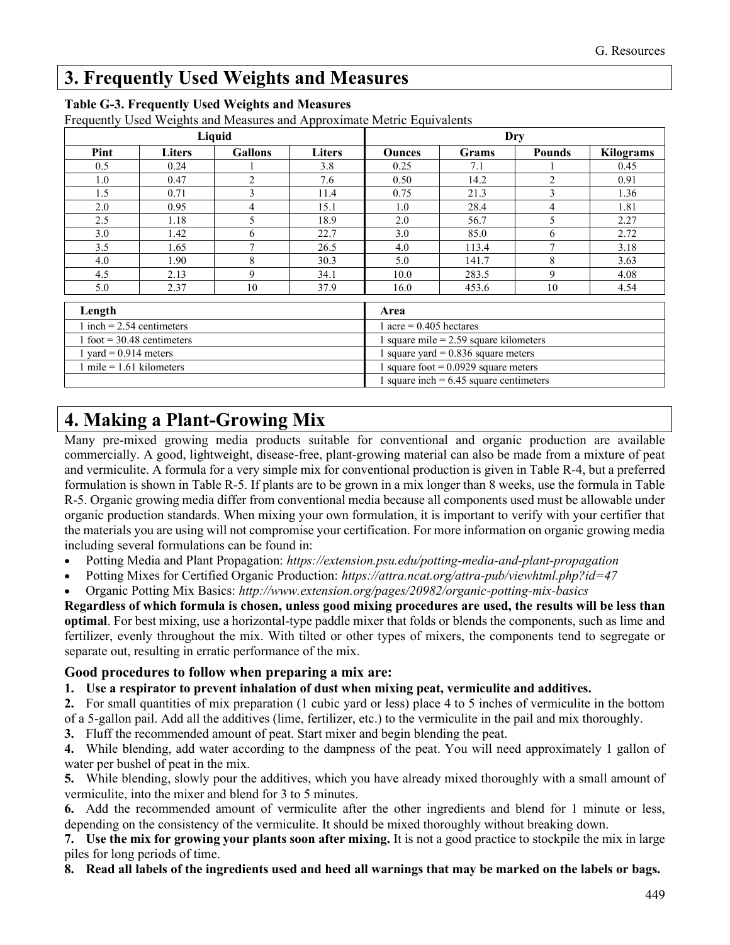### **3. Frequently Used Weights and Measures**

|                              |               | Liquid         |        | Dry                                       |              |                |                  |  |  |
|------------------------------|---------------|----------------|--------|-------------------------------------------|--------------|----------------|------------------|--|--|
| Pint                         | <b>Liters</b> | <b>Gallons</b> | Liters | <b>Ounces</b>                             | <b>Grams</b> | <b>Pounds</b>  | <b>Kilograms</b> |  |  |
| 0.5                          | 0.24          |                | 3.8    | 0.25                                      | 7.1          |                | 0.45             |  |  |
| 1.0                          | 0.47          | $\overline{2}$ | 7.6    | 0.50                                      | 14.2         | $\overline{2}$ | 0.91             |  |  |
| 1.5                          | 0.71          | 3              | 11.4   | 0.75                                      | 21.3         | 3              | 1.36             |  |  |
| 2.0                          | 0.95          | 4              | 15.1   | 1.0                                       | 28.4         | 4              | 1.81             |  |  |
| 2.5                          | 1.18          | 5              | 18.9   | 2.0                                       | 56.7         | 5              | 2.27             |  |  |
| 3.0                          | 1.42          | 6              | 22.7   | 3.0                                       | 85.0         | 6              | 2.72             |  |  |
| 3.5                          | 1.65          | $\mathbf{r}$   | 26.5   | 4.0                                       | 113.4        |                | 3.18             |  |  |
| 4.0                          | 1.90          | 8              | 30.3   | 5.0                                       | 141.7        | 8              | 3.63             |  |  |
| 4.5                          | 2.13          | 9              | 34.1   | 10.0                                      | 283.5        | 9              | 4.08             |  |  |
| 5.0                          | 2.37          | 10             | 37.9   | 16.0                                      | 453.6        | 10             | 4.54             |  |  |
| Length                       |               |                |        | Area                                      |              |                |                  |  |  |
| 1 inch = $2.54$ centimeters  |               |                |        | 1 acre = $0.405$ hectares                 |              |                |                  |  |  |
| 1 foot = $30.48$ centimeters |               |                |        | 1 square mile $= 2.59$ square kilometers  |              |                |                  |  |  |
| 1 yard = $0.914$ meters      |               |                |        | 1 square yard = $0.836$ square meters     |              |                |                  |  |  |
| 1 mile = $1.61$ kilometers   |               |                |        | 1 square foot = $0.0929$ square meters    |              |                |                  |  |  |
|                              |               |                |        | 1 square inch = $6.45$ square centimeters |              |                |                  |  |  |

#### **Table G-3. Frequently Used Weights and Measures**

Frequently Used Weights and Measures and Approximate Metric Equivalents

### **4. Making a Plant-Growing Mix**

Many pre-mixed growing media products suitable for conventional and organic production are available commercially. A good, lightweight, disease-free, plant-growing material can also be made from a mixture of peat and vermiculite. A formula for a very simple mix for conventional production is given in Table R-4, but a preferred formulation is shown in Table R-5. If plants are to be grown in a mix longer than 8 weeks, use the formula in Table R-5. Organic growing media differ from conventional media because all components used must be allowable under organic production standards. When mixing your own formulation, it is important to verify with your certifier that the materials you are using will not compromise your certification. For more information on organic growing media including several formulations can be found in:

- Potting Media and Plant Propagation: *<https://extension.psu.edu/potting-media-and-plant-propagation>*
- Potting Mixes for Certified Organic Production: *<https://attra.ncat.org/attra-pub/viewhtml.php?id=47>*

• Organic Potting Mix Basics: *http://www.extension.org/pages/20982/organic-potting-mix-basics*

**Regardless of which formula is chosen, unless good mixing procedures are used, the results will be less than optimal**. For best mixing, use a horizontal-type paddle mixer that folds or blends the components, such as lime and fertilizer, evenly throughout the mix. With tilted or other types of mixers, the components tend to segregate or separate out, resulting in erratic performance of the mix.

#### **Good procedures to follow when preparing a mix are:**

**1. Use a respirator to prevent inhalation of dust when mixing peat, vermiculite and additives.**

**2.** For small quantities of mix preparation (1 cubic yard or less) place 4 to 5 inches of vermiculite in the bottom of a 5-gallon pail. Add all the additives (lime, fertilizer, etc.) to the vermiculite in the pail and mix thoroughly.

**3.** Fluff the recommended amount of peat. Start mixer and begin blending the peat.

**4.** While blending, add water according to the dampness of the peat. You will need approximately 1 gallon of water per bushel of peat in the mix.

**5.** While blending, slowly pour the additives, which you have already mixed thoroughly with a small amount of vermiculite, into the mixer and blend for 3 to 5 minutes.

**6.** Add the recommended amount of vermiculite after the other ingredients and blend for 1 minute or less, depending on the consistency of the vermiculite. It should be mixed thoroughly without breaking down.

**7. Use the mix for growing your plants soon after mixing.** It is not a good practice to stockpile the mix in large piles for long periods of time.

**8. Read all labels of the ingredients used and heed all warnings that may be marked on the labels or bags.**